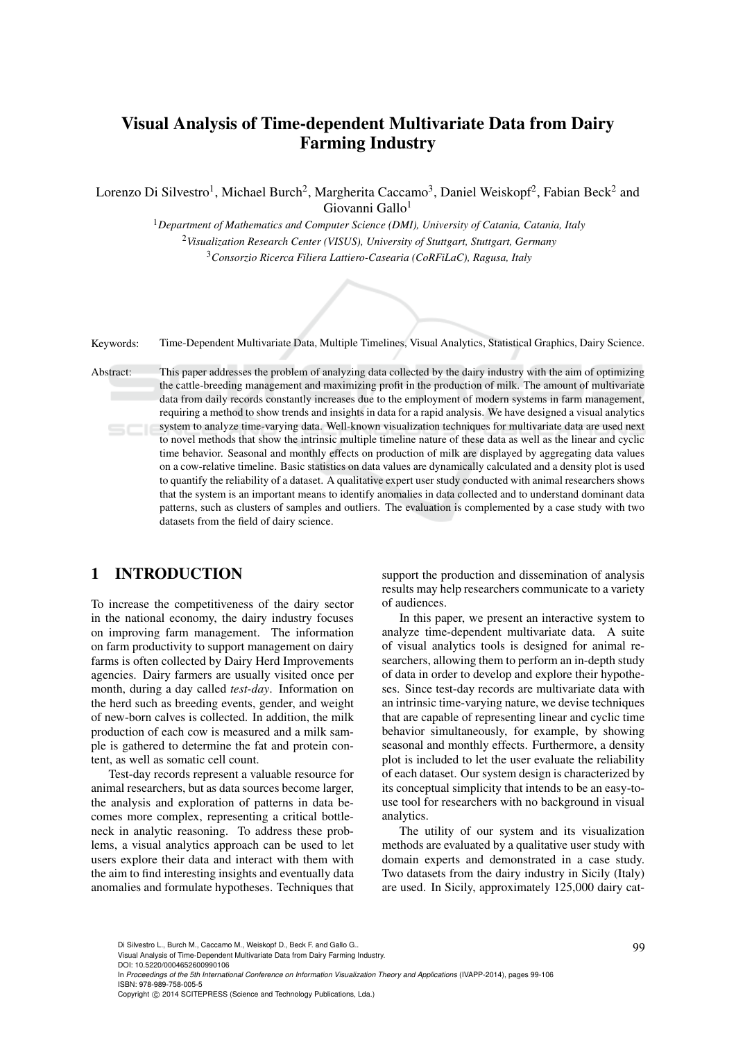# Visual Analysis of Time-dependent Multivariate Data from Dairy Farming Industry

Lorenzo Di Silvestro<sup>1</sup>, Michael Burch<sup>2</sup>, Margherita Caccamo<sup>3</sup>, Daniel Weiskopf<sup>2</sup>, Fabian Beck<sup>2</sup> and Giovanni Gallo<sup>1</sup>

> <sup>1</sup>*Department of Mathematics and Computer Science (DMI), University of Catania, Catania, Italy* <sup>2</sup>*Visualization Research Center (VISUS), University of Stuttgart, Stuttgart, Germany* <sup>3</sup>*Consorzio Ricerca Filiera Lattiero-Casearia (CoRFiLaC), Ragusa, Italy*

| Keywords: | Time-Dependent Multivariate Data, Multiple Timelines, Visual Analytics, Statistical Graphics, Dairy Science, |  |  |  |  |  |  |
|-----------|--------------------------------------------------------------------------------------------------------------|--|--|--|--|--|--|
|-----------|--------------------------------------------------------------------------------------------------------------|--|--|--|--|--|--|

Abstract: This paper addresses the problem of analyzing data collected by the dairy industry with the aim of optimizing the cattle-breeding management and maximizing profit in the production of milk. The amount of multivariate data from daily records constantly increases due to the employment of modern systems in farm management, requiring a method to show trends and insights in data for a rapid analysis. We have designed a visual analytics system to analyze time-varying data. Well-known visualization techniques for multivariate data are used next to novel methods that show the intrinsic multiple timeline nature of these data as well as the linear and cyclic time behavior. Seasonal and monthly effects on production of milk are displayed by aggregating data values on a cow-relative timeline. Basic statistics on data values are dynamically calculated and a density plot is used to quantify the reliability of a dataset. A qualitative expert user study conducted with animal researchers shows that the system is an important means to identify anomalies in data collected and to understand dominant data patterns, such as clusters of samples and outliers. The evaluation is complemented by a case study with two datasets from the field of dairy science.

### 1 INTRODUCTION

To increase the competitiveness of the dairy sector in the national economy, the dairy industry focuses on improving farm management. The information on farm productivity to support management on dairy farms is often collected by Dairy Herd Improvements agencies. Dairy farmers are usually visited once per month, during a day called *test-day*. Information on the herd such as breeding events, gender, and weight of new-born calves is collected. In addition, the milk production of each cow is measured and a milk sample is gathered to determine the fat and protein content, as well as somatic cell count.

Test-day records represent a valuable resource for animal researchers, but as data sources become larger, the analysis and exploration of patterns in data becomes more complex, representing a critical bottleneck in analytic reasoning. To address these problems, a visual analytics approach can be used to let users explore their data and interact with them with the aim to find interesting insights and eventually data anomalies and formulate hypotheses. Techniques that

support the production and dissemination of analysis results may help researchers communicate to a variety of audiences.

In this paper, we present an interactive system to analyze time-dependent multivariate data. A suite of visual analytics tools is designed for animal researchers, allowing them to perform an in-depth study of data in order to develop and explore their hypotheses. Since test-day records are multivariate data with an intrinsic time-varying nature, we devise techniques that are capable of representing linear and cyclic time behavior simultaneously, for example, by showing seasonal and monthly effects. Furthermore, a density plot is included to let the user evaluate the reliability of each dataset. Our system design is characterized by its conceptual simplicity that intends to be an easy-touse tool for researchers with no background in visual analytics.

The utility of our system and its visualization methods are evaluated by a qualitative user study with domain experts and demonstrated in a case study. Two datasets from the dairy industry in Sicily (Italy) are used. In Sicily, approximately 125,000 dairy cat-

DOI: 10.5220/0004652600990106

In *Proceedings of the 5th International Conference on Information Visualization Theory and Applications* (IVAPP-2014), pages 99-106 ISBN: 978-989-758-005-5

Di Silvestro L., Burch M., Caccamo M., Weiskopf D., Beck F. and Gallo G..<br>Visual Analysis of Time-Dependent Multivariate Data from Dairy Farming Industry.

Copyright (C) 2014 SCITEPRESS (Science and Technology Publications, Lda.)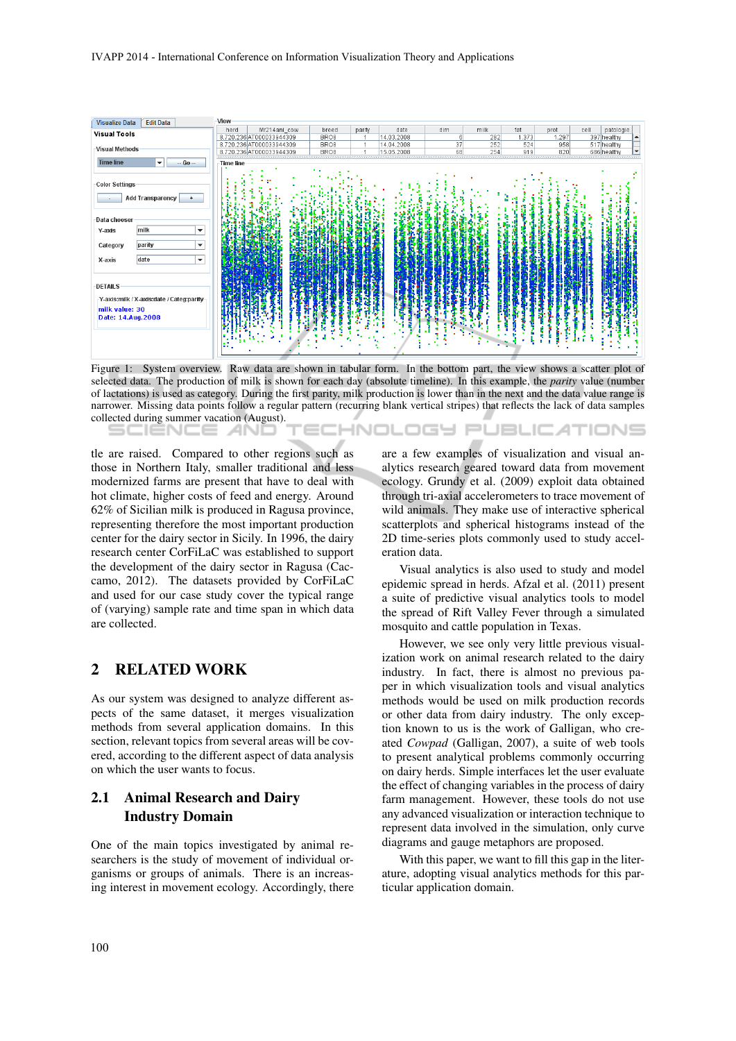#### IVAPP 2014 - International Conference on Information Visualization Theory and Applications



Figure 1: System overview. Raw data are shown in tabular form. In the bottom part, the view shows a scatter plot of selected data. The production of milk is shown for each day (absolute timeline). In this example, the *parity* value (number of lactations) is used as category. During the first parity, milk production is lower than in the next and the data value range is narrower. Missing data points follow a regular pattern (recurring blank vertical stripes) that reflects the lack of data samples collected during summer vacation (August). JBLIC ATIONS

tle are raised. Compared to other regions such as those in Northern Italy, smaller traditional and less modernized farms are present that have to deal with hot climate, higher costs of feed and energy. Around 62% of Sicilian milk is produced in Ragusa province, representing therefore the most important production center for the dairy sector in Sicily. In 1996, the dairy research center CorFiLaC was established to support the development of the dairy sector in Ragusa (Caccamo, 2012). The datasets provided by CorFiLaC and used for our case study cover the typical range of (varying) sample rate and time span in which data are collected.

### 2 RELATED WORK

As our system was designed to analyze different aspects of the same dataset, it merges visualization methods from several application domains. In this section, relevant topics from several areas will be covered, according to the different aspect of data analysis on which the user wants to focus.

### 2.1 Animal Research and Dairy Industry Domain

One of the main topics investigated by animal researchers is the study of movement of individual organisms or groups of animals. There is an increasing interest in movement ecology. Accordingly, there are a few examples of visualization and visual analytics research geared toward data from movement ecology. Grundy et al. (2009) exploit data obtained through tri-axial accelerometers to trace movement of wild animals. They make use of interactive spherical scatterplots and spherical histograms instead of the 2D time-series plots commonly used to study acceleration data.

Visual analytics is also used to study and model epidemic spread in herds. Afzal et al. (2011) present a suite of predictive visual analytics tools to model the spread of Rift Valley Fever through a simulated mosquito and cattle population in Texas.

However, we see only very little previous visualization work on animal research related to the dairy industry. In fact, there is almost no previous paper in which visualization tools and visual analytics methods would be used on milk production records or other data from dairy industry. The only exception known to us is the work of Galligan, who created *Cowpad* (Galligan, 2007), a suite of web tools to present analytical problems commonly occurring on dairy herds. Simple interfaces let the user evaluate the effect of changing variables in the process of dairy farm management. However, these tools do not use any advanced visualization or interaction technique to represent data involved in the simulation, only curve diagrams and gauge metaphors are proposed.

With this paper, we want to fill this gap in the literature, adopting visual analytics methods for this particular application domain.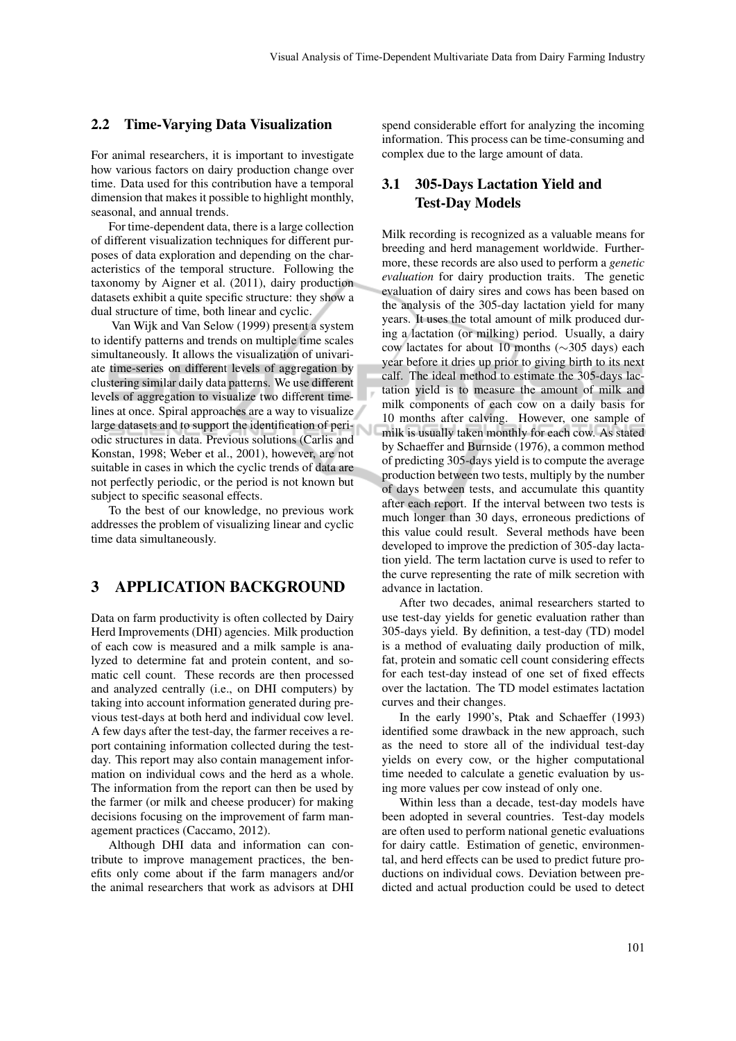#### 2.2 Time-Varying Data Visualization

For animal researchers, it is important to investigate how various factors on dairy production change over time. Data used for this contribution have a temporal dimension that makes it possible to highlight monthly, seasonal, and annual trends.

For time-dependent data, there is a large collection of different visualization techniques for different purposes of data exploration and depending on the characteristics of the temporal structure. Following the taxonomy by Aigner et al. (2011), dairy production datasets exhibit a quite specific structure: they show a dual structure of time, both linear and cyclic.

Van Wijk and Van Selow (1999) present a system to identify patterns and trends on multiple time scales simultaneously. It allows the visualization of univariate time-series on different levels of aggregation by clustering similar daily data patterns. We use different levels of aggregation to visualize two different timelines at once. Spiral approaches are a way to visualize large datasets and to support the identification of periodic structures in data. Previous solutions (Carlis and Konstan, 1998; Weber et al., 2001), however, are not suitable in cases in which the cyclic trends of data are not perfectly periodic, or the period is not known but subject to specific seasonal effects.

To the best of our knowledge, no previous work addresses the problem of visualizing linear and cyclic time data simultaneously.

### 3 APPLICATION BACKGROUND

Data on farm productivity is often collected by Dairy Herd Improvements (DHI) agencies. Milk production of each cow is measured and a milk sample is analyzed to determine fat and protein content, and somatic cell count. These records are then processed and analyzed centrally (i.e., on DHI computers) by taking into account information generated during previous test-days at both herd and individual cow level. A few days after the test-day, the farmer receives a report containing information collected during the testday. This report may also contain management information on individual cows and the herd as a whole. The information from the report can then be used by the farmer (or milk and cheese producer) for making decisions focusing on the improvement of farm management practices (Caccamo, 2012).

Although DHI data and information can contribute to improve management practices, the benefits only come about if the farm managers and/or the animal researchers that work as advisors at DHI

spend considerable effort for analyzing the incoming information. This process can be time-consuming and complex due to the large amount of data.

### 3.1 305-Days Lactation Yield and Test-Day Models

Milk recording is recognized as a valuable means for breeding and herd management worldwide. Furthermore, these records are also used to perform a *genetic evaluation* for dairy production traits. The genetic evaluation of dairy sires and cows has been based on the analysis of the 305-day lactation yield for many years. It uses the total amount of milk produced during a lactation (or milking) period. Usually, a dairy cow lactates for about 10 months (∼305 days) each year before it dries up prior to giving birth to its next calf. The ideal method to estimate the 305-days lactation yield is to measure the amount of milk and milk components of each cow on a daily basis for 10 months after calving. However, one sample of milk is usually taken monthly for each cow. As stated by Schaeffer and Burnside (1976), a common method of predicting 305-days yield is to compute the average production between two tests, multiply by the number of days between tests, and accumulate this quantity after each report. If the interval between two tests is much longer than 30 days, erroneous predictions of this value could result. Several methods have been developed to improve the prediction of 305-day lactation yield. The term lactation curve is used to refer to the curve representing the rate of milk secretion with advance in lactation.

After two decades, animal researchers started to use test-day yields for genetic evaluation rather than 305-days yield. By definition, a test-day (TD) model is a method of evaluating daily production of milk, fat, protein and somatic cell count considering effects for each test-day instead of one set of fixed effects over the lactation. The TD model estimates lactation curves and their changes.

In the early 1990's, Ptak and Schaeffer (1993) identified some drawback in the new approach, such as the need to store all of the individual test-day yields on every cow, or the higher computational time needed to calculate a genetic evaluation by using more values per cow instead of only one.

Within less than a decade, test-day models have been adopted in several countries. Test-day models are often used to perform national genetic evaluations for dairy cattle. Estimation of genetic, environmental, and herd effects can be used to predict future productions on individual cows. Deviation between predicted and actual production could be used to detect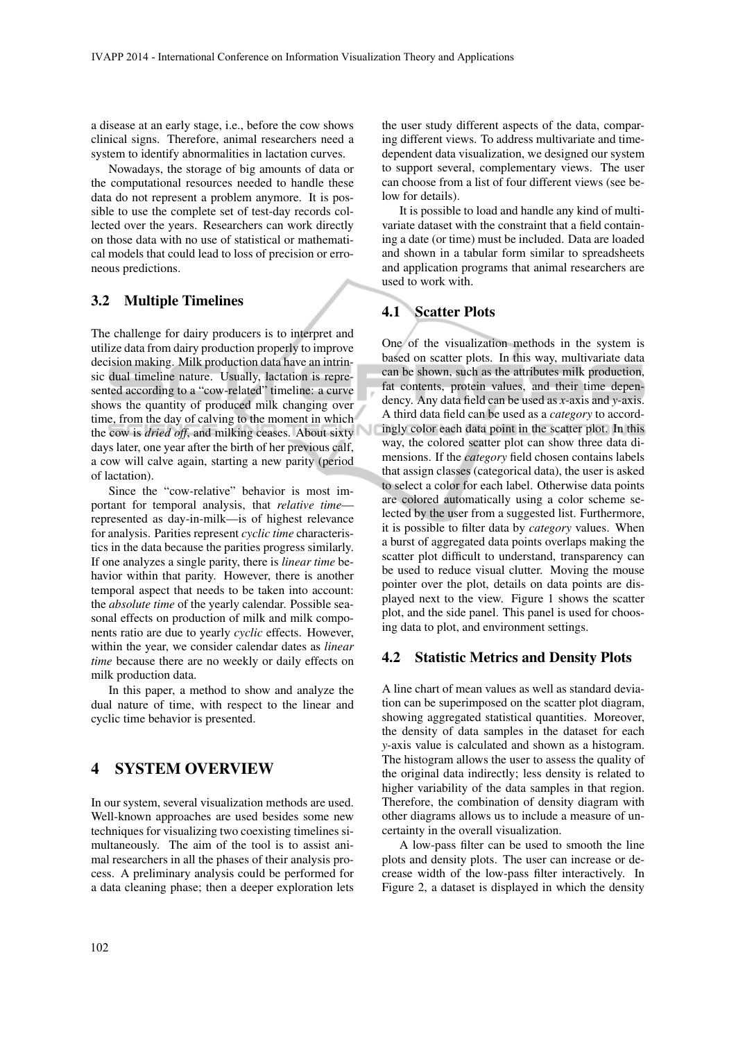a disease at an early stage, i.e., before the cow shows clinical signs. Therefore, animal researchers need a system to identify abnormalities in lactation curves.

Nowadays, the storage of big amounts of data or the computational resources needed to handle these data do not represent a problem anymore. It is possible to use the complete set of test-day records collected over the years. Researchers can work directly on those data with no use of statistical or mathematical models that could lead to loss of precision or erroneous predictions.

### 3.2 Multiple Timelines

The challenge for dairy producers is to interpret and utilize data from dairy production properly to improve decision making. Milk production data have an intrinsic dual timeline nature. Usually, lactation is represented according to a "cow-related" timeline: a curve shows the quantity of produced milk changing over time, from the day of calving to the moment in which the cow is *dried off*, and milking ceases. About sixty days later, one year after the birth of her previous calf, a cow will calve again, starting a new parity (period of lactation).

Since the "cow-relative" behavior is most important for temporal analysis, that *relative time* represented as day-in-milk—is of highest relevance for analysis. Parities represent *cyclic time* characteristics in the data because the parities progress similarly. If one analyzes a single parity, there is *linear time* behavior within that parity. However, there is another temporal aspect that needs to be taken into account: the *absolute time* of the yearly calendar. Possible seasonal effects on production of milk and milk components ratio are due to yearly *cyclic* effects. However, within the year, we consider calendar dates as *linear time* because there are no weekly or daily effects on milk production data.

In this paper, a method to show and analyze the dual nature of time, with respect to the linear and cyclic time behavior is presented.

### 4 SYSTEM OVERVIEW

In our system, several visualization methods are used. Well-known approaches are used besides some new techniques for visualizing two coexisting timelines simultaneously. The aim of the tool is to assist animal researchers in all the phases of their analysis process. A preliminary analysis could be performed for a data cleaning phase; then a deeper exploration lets

the user study different aspects of the data, comparing different views. To address multivariate and timedependent data visualization, we designed our system to support several, complementary views. The user can choose from a list of four different views (see below for details).

It is possible to load and handle any kind of multivariate dataset with the constraint that a field containing a date (or time) must be included. Data are loaded and shown in a tabular form similar to spreadsheets and application programs that animal researchers are used to work with.

#### 4.1 Scatter Plots

One of the visualization methods in the system is based on scatter plots. In this way, multivariate data can be shown, such as the attributes milk production, fat contents, protein values, and their time dependency. Any data field can be used as *x*-axis and *y*-axis. A third data field can be used as a *category* to accordingly color each data point in the scatter plot. In this way, the colored scatter plot can show three data dimensions. If the *category* field chosen contains labels that assign classes (categorical data), the user is asked to select a color for each label. Otherwise data points are colored automatically using a color scheme selected by the user from a suggested list. Furthermore, it is possible to filter data by *category* values. When a burst of aggregated data points overlaps making the scatter plot difficult to understand, transparency can be used to reduce visual clutter. Moving the mouse pointer over the plot, details on data points are displayed next to the view. Figure 1 shows the scatter plot, and the side panel. This panel is used for choosing data to plot, and environment settings.

#### 4.2 Statistic Metrics and Density Plots

A line chart of mean values as well as standard deviation can be superimposed on the scatter plot diagram, showing aggregated statistical quantities. Moreover, the density of data samples in the dataset for each *y*-axis value is calculated and shown as a histogram. The histogram allows the user to assess the quality of the original data indirectly; less density is related to higher variability of the data samples in that region. Therefore, the combination of density diagram with other diagrams allows us to include a measure of uncertainty in the overall visualization.

A low-pass filter can be used to smooth the line plots and density plots. The user can increase or decrease width of the low-pass filter interactively. In Figure 2, a dataset is displayed in which the density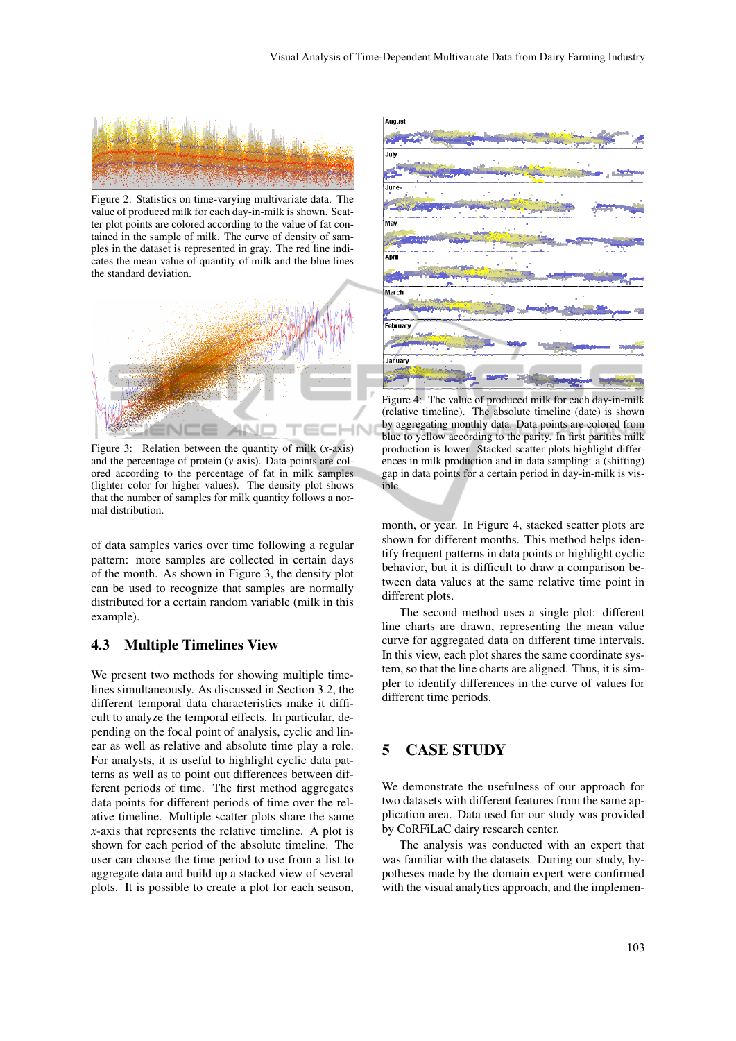

Figure 2: Statistics on time-varying multivariate data. The value of produced milk for each day-in-milk is shown. Scatter plot points are colored according to the value of fat contained in the sample of milk. The curve of density of samples in the dataset is represented in gray. The red line indicates the mean value of quantity of milk and the blue lines the standard deviation.



Figure 3: Relation between the quantity of milk (*x*-axis) and the percentage of protein (*y*-axis). Data points are colored according to the percentage of fat in milk samples (lighter color for higher values). The density plot shows that the number of samples for milk quantity follows a normal distribution.

of data samples varies over time following a regular pattern: more samples are collected in certain days of the month. As shown in Figure 3, the density plot can be used to recognize that samples are normally distributed for a certain random variable (milk in this example).

#### 4.3 Multiple Timelines View

We present two methods for showing multiple timelines simultaneously. As discussed in Section 3.2, the different temporal data characteristics make it difficult to analyze the temporal effects. In particular, depending on the focal point of analysis, cyclic and linear as well as relative and absolute time play a role. For analysts, it is useful to highlight cyclic data patterns as well as to point out differences between different periods of time. The first method aggregates data points for different periods of time over the relative timeline. Multiple scatter plots share the same *x*-axis that represents the relative timeline. A plot is shown for each period of the absolute timeline. The user can choose the time period to use from a list to aggregate data and build up a stacked view of several plots. It is possible to create a plot for each season,



Figure 4: The value of produced milk for each day-in-milk (relative timeline). The absolute timeline (date) is shown by aggregating monthly data. Data points are colored from blue to yellow according to the parity. In first parities milk production is lower. Stacked scatter plots highlight differences in milk production and in data sampling: a (shifting) gap in data points for a certain period in day-in-milk is visible.

month, or year. In Figure 4, stacked scatter plots are shown for different months. This method helps identify frequent patterns in data points or highlight cyclic behavior, but it is difficult to draw a comparison between data values at the same relative time point in different plots.

The second method uses a single plot: different line charts are drawn, representing the mean value curve for aggregated data on different time intervals. In this view, each plot shares the same coordinate system, so that the line charts are aligned. Thus, it is simpler to identify differences in the curve of values for different time periods.

## 5 CASE STUDY

We demonstrate the usefulness of our approach for two datasets with different features from the same application area. Data used for our study was provided by CoRFiLaC dairy research center.

The analysis was conducted with an expert that was familiar with the datasets. During our study, hypotheses made by the domain expert were confirmed with the visual analytics approach, and the implemen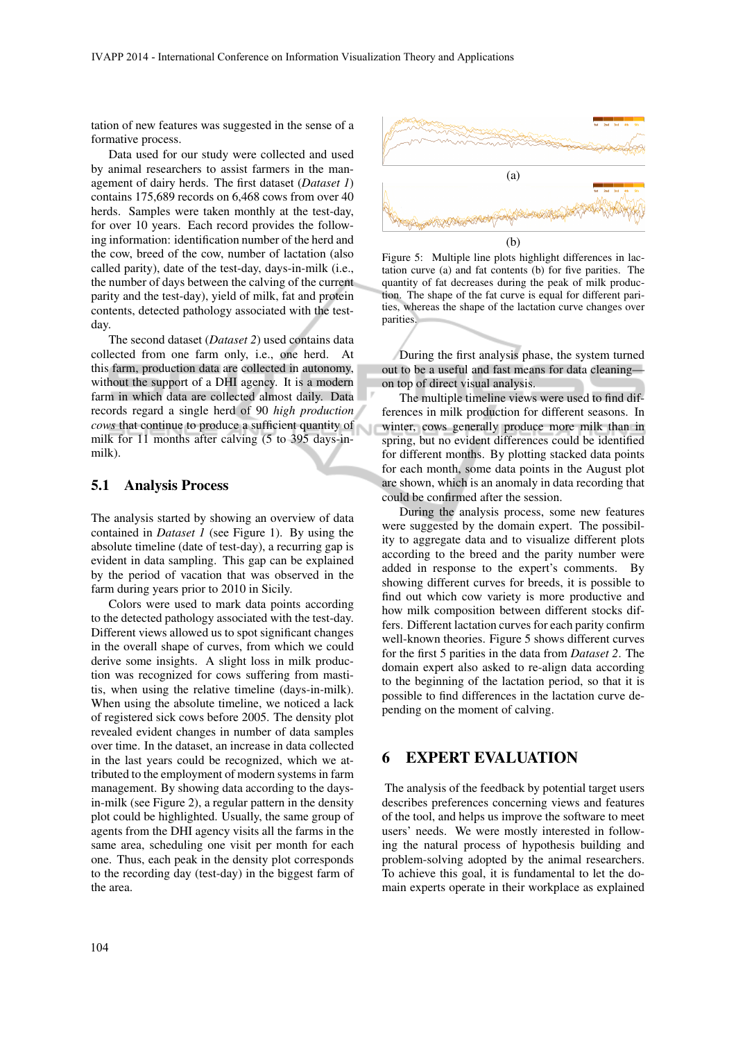tation of new features was suggested in the sense of a formative process.

Data used for our study were collected and used by animal researchers to assist farmers in the management of dairy herds. The first dataset (*Dataset 1*) contains 175,689 records on 6,468 cows from over 40 herds. Samples were taken monthly at the test-day, for over 10 years. Each record provides the following information: identification number of the herd and the cow, breed of the cow, number of lactation (also called parity), date of the test-day, days-in-milk (i.e., the number of days between the calving of the current parity and the test-day), yield of milk, fat and protein contents, detected pathology associated with the testday.

The second dataset (*Dataset 2*) used contains data collected from one farm only, i.e., one herd. At this farm, production data are collected in autonomy, without the support of a DHI agency. It is a modern farm in which data are collected almost daily. Data records regard a single herd of 90 *high production cows* that continue to produce a sufficient quantity of milk for 11 months after calving (5 to 395 days-inmilk).

#### 5.1 Analysis Process

The analysis started by showing an overview of data contained in *Dataset 1* (see Figure 1). By using the absolute timeline (date of test-day), a recurring gap is evident in data sampling. This gap can be explained by the period of vacation that was observed in the farm during years prior to 2010 in Sicily.

Colors were used to mark data points according to the detected pathology associated with the test-day. Different views allowed us to spot significant changes in the overall shape of curves, from which we could derive some insights. A slight loss in milk production was recognized for cows suffering from mastitis, when using the relative timeline (days-in-milk). When using the absolute timeline, we noticed a lack of registered sick cows before 2005. The density plot revealed evident changes in number of data samples over time. In the dataset, an increase in data collected in the last years could be recognized, which we attributed to the employment of modern systems in farm management. By showing data according to the daysin-milk (see Figure 2), a regular pattern in the density plot could be highlighted. Usually, the same group of agents from the DHI agency visits all the farms in the same area, scheduling one visit per month for each one. Thus, each peak in the density plot corresponds to the recording day (test-day) in the biggest farm of the area.



Figure 5: Multiple line plots highlight differences in lactation curve (a) and fat contents (b) for five parities. The quantity of fat decreases during the peak of milk production. The shape of the fat curve is equal for different parities, whereas the shape of the lactation curve changes over parities.

During the first analysis phase, the system turned out to be a useful and fast means for data cleaning on top of direct visual analysis.

The multiple timeline views were used to find differences in milk production for different seasons. In winter, cows generally produce more milk than in spring, but no evident differences could be identified for different months. By plotting stacked data points for each month, some data points in the August plot are shown, which is an anomaly in data recording that could be confirmed after the session.

During the analysis process, some new features were suggested by the domain expert. The possibility to aggregate data and to visualize different plots according to the breed and the parity number were added in response to the expert's comments. By showing different curves for breeds, it is possible to find out which cow variety is more productive and how milk composition between different stocks differs. Different lactation curves for each parity confirm well-known theories. Figure 5 shows different curves for the first 5 parities in the data from *Dataset 2*. The domain expert also asked to re-align data according to the beginning of the lactation period, so that it is possible to find differences in the lactation curve depending on the moment of calving.

### 6 EXPERT EVALUATION

The analysis of the feedback by potential target users describes preferences concerning views and features of the tool, and helps us improve the software to meet users' needs. We were mostly interested in following the natural process of hypothesis building and problem-solving adopted by the animal researchers. To achieve this goal, it is fundamental to let the domain experts operate in their workplace as explained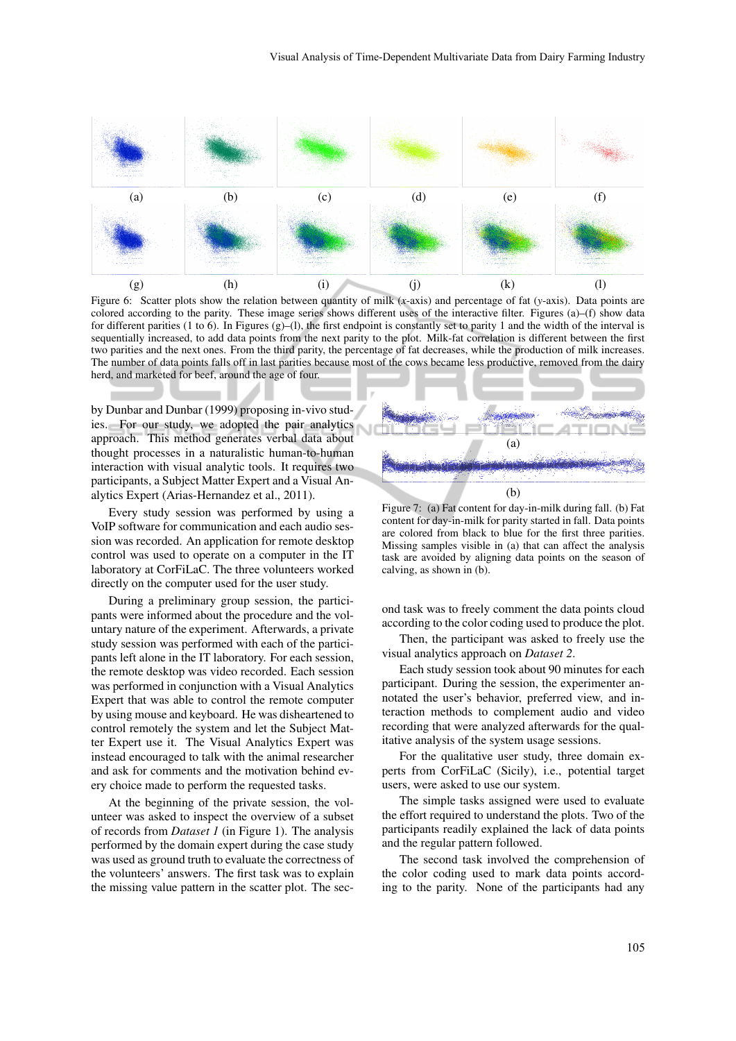

Figure 6: Scatter plots show the relation between quantity of milk (*x*-axis) and percentage of fat (*y*-axis). Data points are colored according to the parity. These image series shows different uses of the interactive filter. Figures (a)–(f) show data for different parities (1 to 6). In Figures (g)–(l), the first endpoint is constantly set to parity 1 and the width of the interval is sequentially increased, to add data points from the next parity to the plot. Milk-fat correlation is different between the first two parities and the next ones. From the third parity, the percentage of fat decreases, while the production of milk increases. The number of data points falls off in last parities because most of the cows became less productive, removed from the dairy herd, and marketed for beef, around the age of four.

by Dunbar and Dunbar (1999) proposing in-vivo studies. For our study, we adopted the pair analytics approach. This method generates verbal data about thought processes in a naturalistic human-to-human interaction with visual analytic tools. It requires two participants, a Subject Matter Expert and a Visual Analytics Expert (Arias-Hernandez et al., 2011).

Every study session was performed by using a VoIP software for communication and each audio session was recorded. An application for remote desktop control was used to operate on a computer in the IT laboratory at CorFiLaC. The three volunteers worked directly on the computer used for the user study.

During a preliminary group session, the participants were informed about the procedure and the voluntary nature of the experiment. Afterwards, a private study session was performed with each of the participants left alone in the IT laboratory. For each session, the remote desktop was video recorded. Each session was performed in conjunction with a Visual Analytics Expert that was able to control the remote computer by using mouse and keyboard. He was disheartened to control remotely the system and let the Subject Matter Expert use it. The Visual Analytics Expert was instead encouraged to talk with the animal researcher and ask for comments and the motivation behind every choice made to perform the requested tasks.

At the beginning of the private session, the volunteer was asked to inspect the overview of a subset of records from *Dataset 1* (in Figure 1). The analysis performed by the domain expert during the case study was used as ground truth to evaluate the correctness of the volunteers' answers. The first task was to explain the missing value pattern in the scatter plot. The sec-



Figure 7: (a) Fat content for day-in-milk during fall. (b) Fat content for day-in-milk for parity started in fall. Data points are colored from black to blue for the first three parities. Missing samples visible in (a) that can affect the analysis task are avoided by aligning data points on the season of calving, as shown in (b).

ond task was to freely comment the data points cloud according to the color coding used to produce the plot.

Then, the participant was asked to freely use the visual analytics approach on *Dataset 2*.

Each study session took about 90 minutes for each participant. During the session, the experimenter annotated the user's behavior, preferred view, and interaction methods to complement audio and video recording that were analyzed afterwards for the qualitative analysis of the system usage sessions.

For the qualitative user study, three domain experts from CorFiLaC (Sicily), i.e., potential target users, were asked to use our system.

The simple tasks assigned were used to evaluate the effort required to understand the plots. Two of the participants readily explained the lack of data points and the regular pattern followed.

The second task involved the comprehension of the color coding used to mark data points according to the parity. None of the participants had any